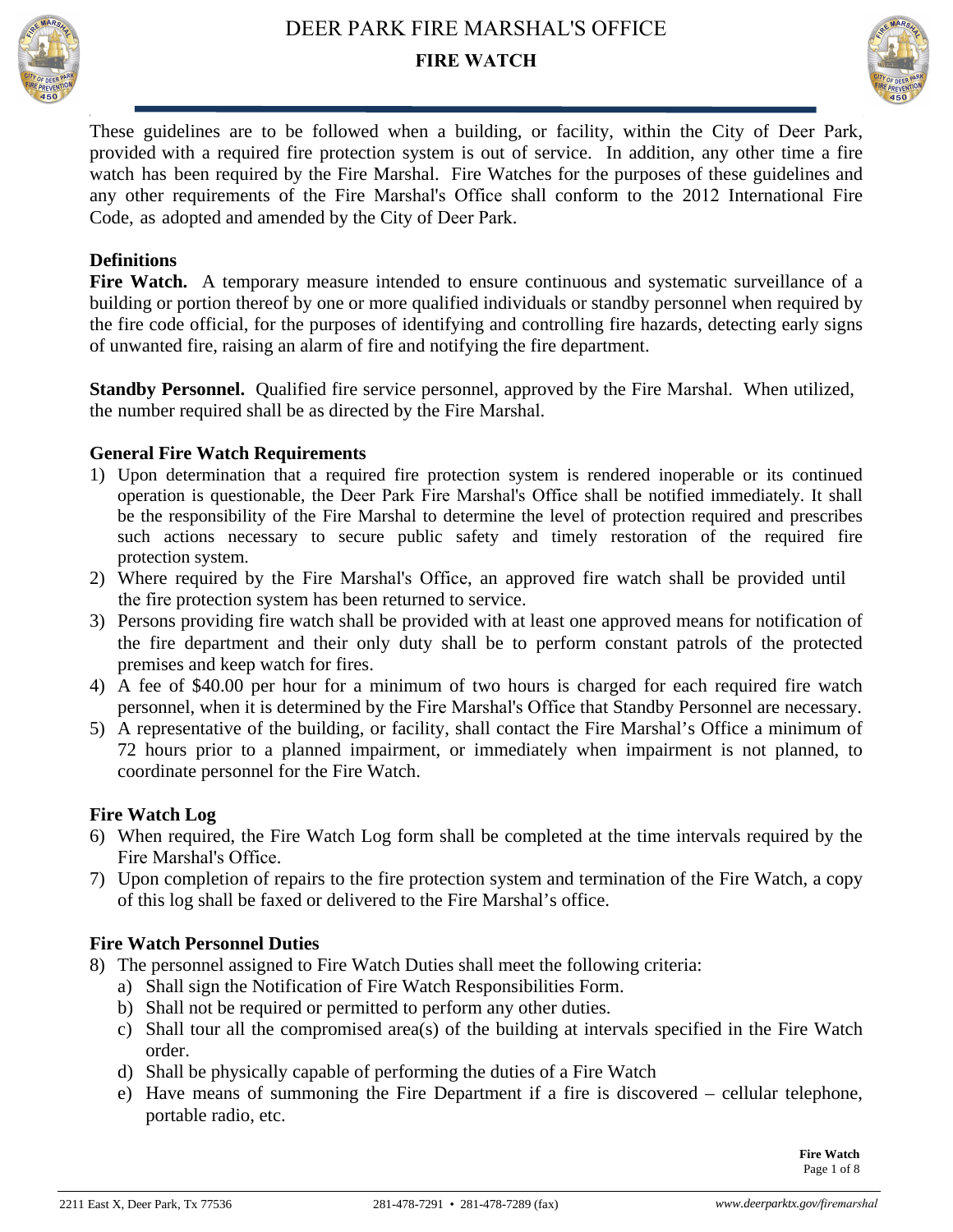



These guidelines are to be followed when a building, or facility, within the City of Deer Park, provided with a required fire protection system is out of service. In addition, any other time a fire watch has been required by the Fire Marshal. Fire Watches for the purposes of these guidelines and any other requirements of the Fire Marshal's Office shall conform to the 2012 International Fire Code, as adopted and amended by the City of Deer Park.

### **Definitions**

Fire Watch. A temporary measure intended to ensure continuous and systematic surveillance of a building or portion thereof by one or more qualified individuals or standby personnel when required by the fire code official, for the purposes of identifying and controlling fire hazards, detecting early signs of unwanted fire, raising an alarm of fire and notifying the fire department.

**Standby Personnel.** Qualified fire service personnel, approved by the Fire Marshal. When utilized, the number required shall be as directed by the Fire Marshal.

### **General Fire Watch Requirements**

- 1) Upon determination that a required fire protection system is rendered inoperable or its continued operation is questionable, the Deer Park Fire Marshal's Office shall be notified immediately. It shall be the responsibility of the Fire Marshal to determine the level of protection required and prescribes such actions necessary to secure public safety and timely restoration of the required fire protection system.
- 2) Where required by the Fire Marshal's Office, an approved fire watch shall be provided until the fire protection system has been returned to service.
- 3) Persons providing fire watch shall be provided with at least one approved means for notification of the fire department and their only duty shall be to perform constant patrols of the protected premises and keep watch for fires.
- 4) A fee of \$40.00 per hour for a minimum of two hours is charged for each required fire watch personnel, when it is determined by the Fire Marshal's Office that Standby Personnel are necessary.
- 5) A representative of the building, or facility, shall contact the Fire Marshal's Office a minimum of 72 hours prior to a planned impairment, or immediately when impairment is not planned, to coordinate personnel for the Fire Watch.

### **Fire Watch Log**

- 6) When required, the Fire Watch Log form shall be completed at the time intervals required by the Fire Marshal's Office.
- 7) Upon completion of repairs to the fire protection system and termination of the Fire Watch, a copy of this log shall be faxed or delivered to the Fire Marshal's office.

### **Fire Watch Personnel Duties**

- 8) The personnel assigned to Fire Watch Duties shall meet the following criteria:
	- a) Shall sign the Notification of Fire Watch Responsibilities Form.
	- b) Shall not be required or permitted to perform any other duties.
	- c) Shall tour all the compromised area(s) of the building at intervals specified in the Fire Watch order.
	- d) Shall be physically capable of performing the duties of a Fire Watch
	- e) Have means of summoning the Fire Department if a fire is discovered cellular telephone, portable radio, etc.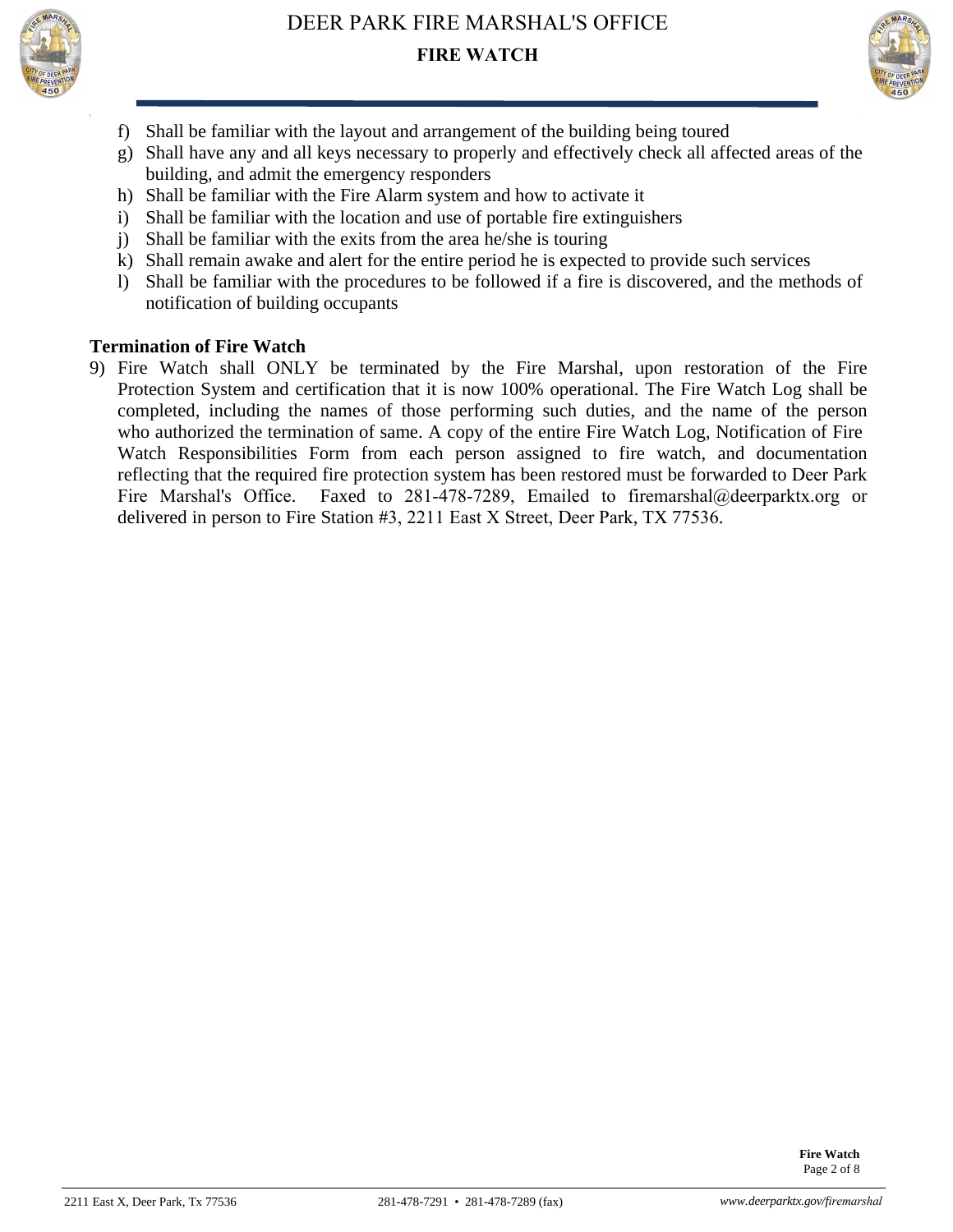



- f) Shall be familiar with the layout and arrangement of the building being toured
- g) Shall have any and all keys necessary to properly and effectively check all affected areas of the building, and admit the emergency responders
- h) Shall be familiar with the Fire Alarm system and how to activate it
- i) Shall be familiar with the location and use of portable fire extinguishers
- j) Shall be familiar with the exits from the area he/she is touring
- k) Shall remain awake and alert for the entire period he is expected to provide such services
- l) Shall be familiar with the procedures to be followed if a fire is discovered, and the methods of notification of building occupants

### **Termination of Fire Watch**

9) Fire Watch shall ONLY be terminated by the Fire Marshal, upon restoration of the Fire Protection System and certification that it is now 100% operational. The Fire Watch Log shall be completed, including the names of those performing such duties, and the name of the person who authorized the termination of same. A copy of the entire Fire Watch Log, Notification of Fire Watch Responsibilities Form from each person assigned to fire watch, and documentation reflecting that the required fire protection system has been restored must be forwarded to Deer Park Fire Marshal's Office. Faxed to 281-478-7289, Emailed to firemarshal@deerparktx.org or delivered in person to Fire Station #3, 2211 East X Street, Deer Park, TX 77536.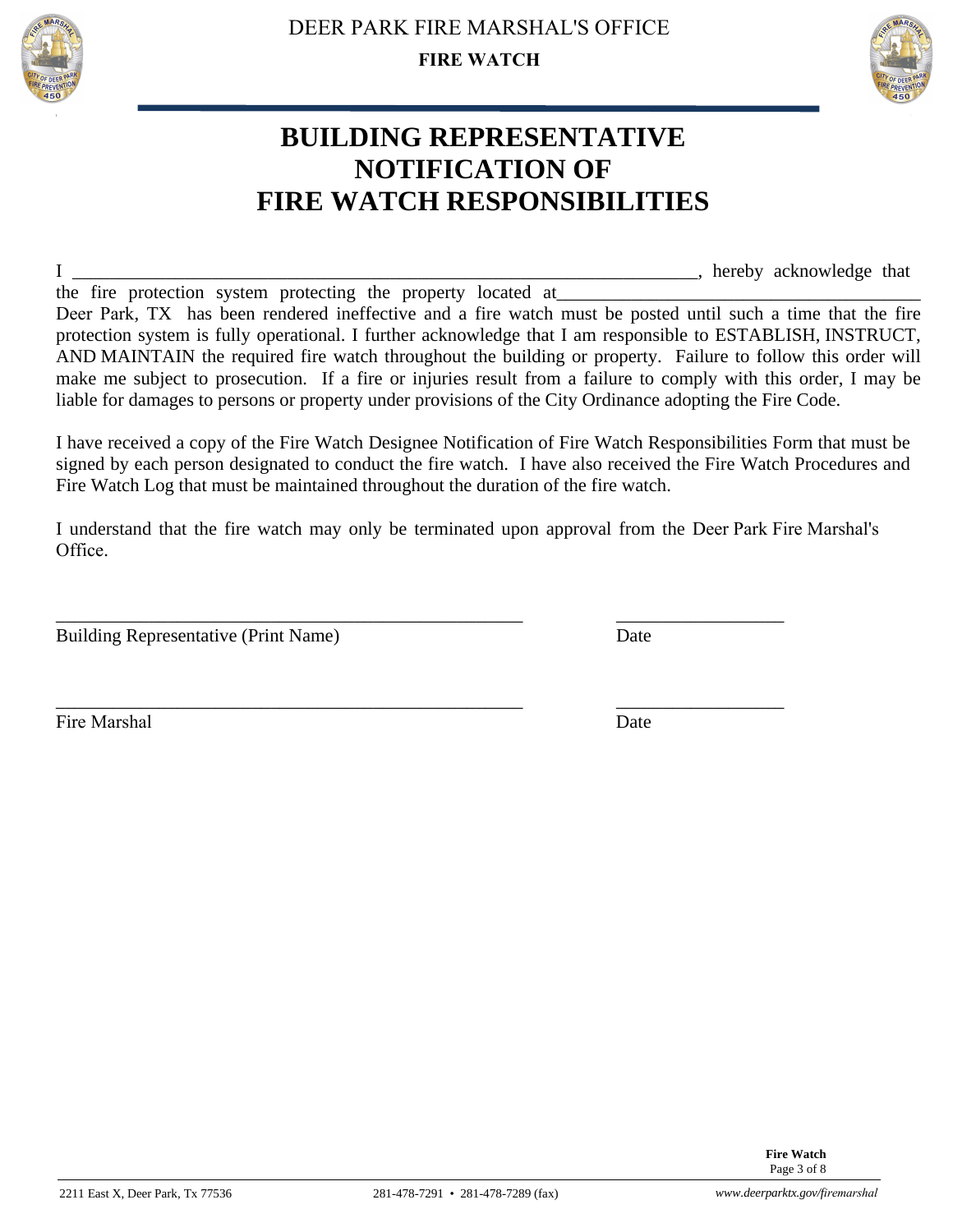



## **BUILDING REPRESENTATIVE NOTIFICATION OF FIRE WATCH RESPONSIBILITIES**

I \_\_\_\_\_\_\_\_\_\_\_\_\_\_\_\_\_\_\_\_\_\_\_\_\_\_\_\_\_\_\_\_\_\_\_\_\_\_\_\_\_\_\_\_\_\_\_\_\_\_\_\_\_\_\_\_\_\_\_\_\_\_\_\_\_\_\_, hereby acknowledge that

the fire protection system protecting the property located at Deer Park, TX has been rendered ineffective and a fire watch must be posted until such a time that the fire protection system is fully operational. I further acknowledge that I am responsible to ESTABLISH, INSTRUCT, AND MAINTAIN the required fire watch throughout the building or property. Failure to follow this order will make me subject to prosecution. If a fire or injuries result from a failure to comply with this order, I may be liable for damages to persons or property under provisions of the City Ordinance adopting the Fire Code.

I have received a copy of the Fire Watch Designee Notification of Fire Watch Responsibilities Form that must be signed by each person designated to conduct the fire watch. I have also received the Fire Watch Procedures and Fire Watch Log that must be maintained throughout the duration of the fire watch.

I understand that the fire watch may only be terminated upon approval from the Deer Park Fire Marshal's Office.

\_\_\_\_\_\_\_\_\_\_\_\_\_\_\_\_\_\_\_\_\_\_\_\_\_\_\_\_\_\_\_\_\_\_\_\_\_\_\_\_\_\_\_\_\_\_\_\_\_\_ \_\_\_\_\_\_\_\_\_\_\_\_\_\_\_\_\_\_

\_\_\_\_\_\_\_\_\_\_\_\_\_\_\_\_\_\_\_\_\_\_\_\_\_\_\_\_\_\_\_\_\_\_\_\_\_\_\_\_\_\_\_\_\_\_\_\_\_\_ \_\_\_\_\_\_\_\_\_\_\_\_\_\_\_\_\_\_

Building Representative (Print Name) Date

Fire Marshal Date **Date** 

2211 East X, Deer Park, Tx 77536 281-478-7291 • 281-478-7289 (fax) *www.deerparktx.gov/firemarshal*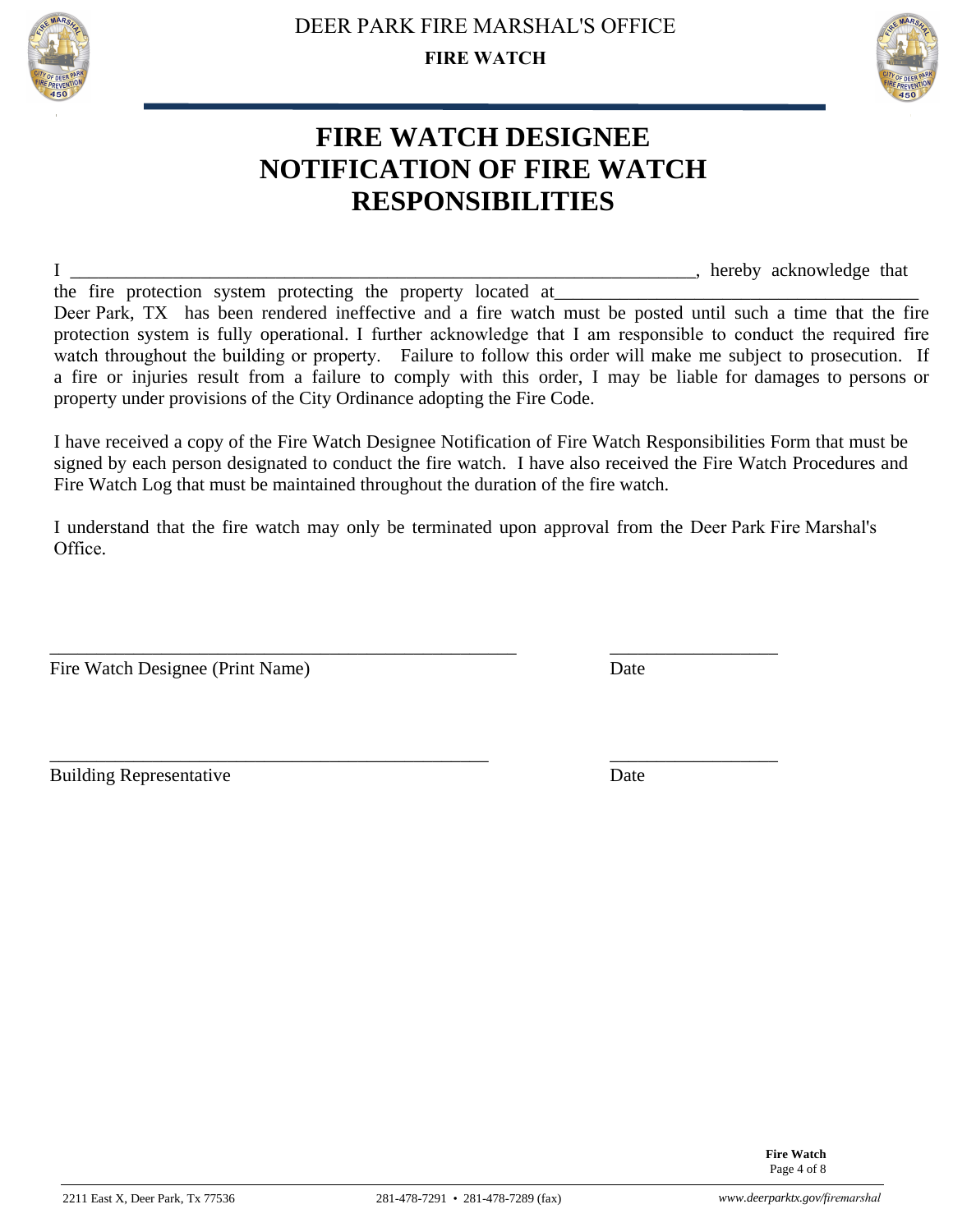



## **FIRE WATCH DESIGNEE NOTIFICATION OF FIRE WATCH RESPONSIBILITIES**

I \_\_\_\_\_\_\_\_\_\_\_\_\_\_\_\_\_\_\_\_\_\_\_\_\_\_\_\_\_\_\_\_\_\_\_\_\_\_\_\_\_\_\_\_\_\_\_\_\_\_\_\_\_\_\_\_\_\_\_\_\_\_\_\_\_\_\_, hereby acknowledge that

the fire protection system protecting the property located at Deer Park, TX has been rendered ineffective and a fire watch must be posted until such a time that the fire protection system is fully operational. I further acknowledge that I am responsible to conduct the required fire watch throughout the building or property. Failure to follow this order will make me subject to prosecution. If a fire or injuries result from a failure to comply with this order, I may be liable for damages to persons or property under provisions of the City Ordinance adopting the Fire Code.

I have received a copy of the Fire Watch Designee Notification of Fire Watch Responsibilities Form that must be signed by each person designated to conduct the fire watch. I have also received the Fire Watch Procedures and Fire Watch Log that must be maintained throughout the duration of the fire watch.

I understand that the fire watch may only be terminated upon approval from the Deer Park Fire Marshal's Office.

\_\_\_\_\_\_\_\_\_\_\_\_\_\_\_\_\_\_\_\_\_\_\_\_\_\_\_\_\_\_\_\_\_\_\_\_\_\_\_\_\_\_\_\_\_\_\_\_\_\_ \_\_\_\_\_\_\_\_\_\_\_\_\_\_\_\_\_\_

\_\_\_\_\_\_\_\_\_\_\_\_\_\_\_\_\_\_\_\_\_\_\_\_\_\_\_\_\_\_\_\_\_\_\_\_\_\_\_\_\_\_\_\_\_\_\_ \_\_\_\_\_\_\_\_\_\_\_\_\_\_\_\_\_\_

Fire Watch Designee (Print Name) Date

Building Representative Date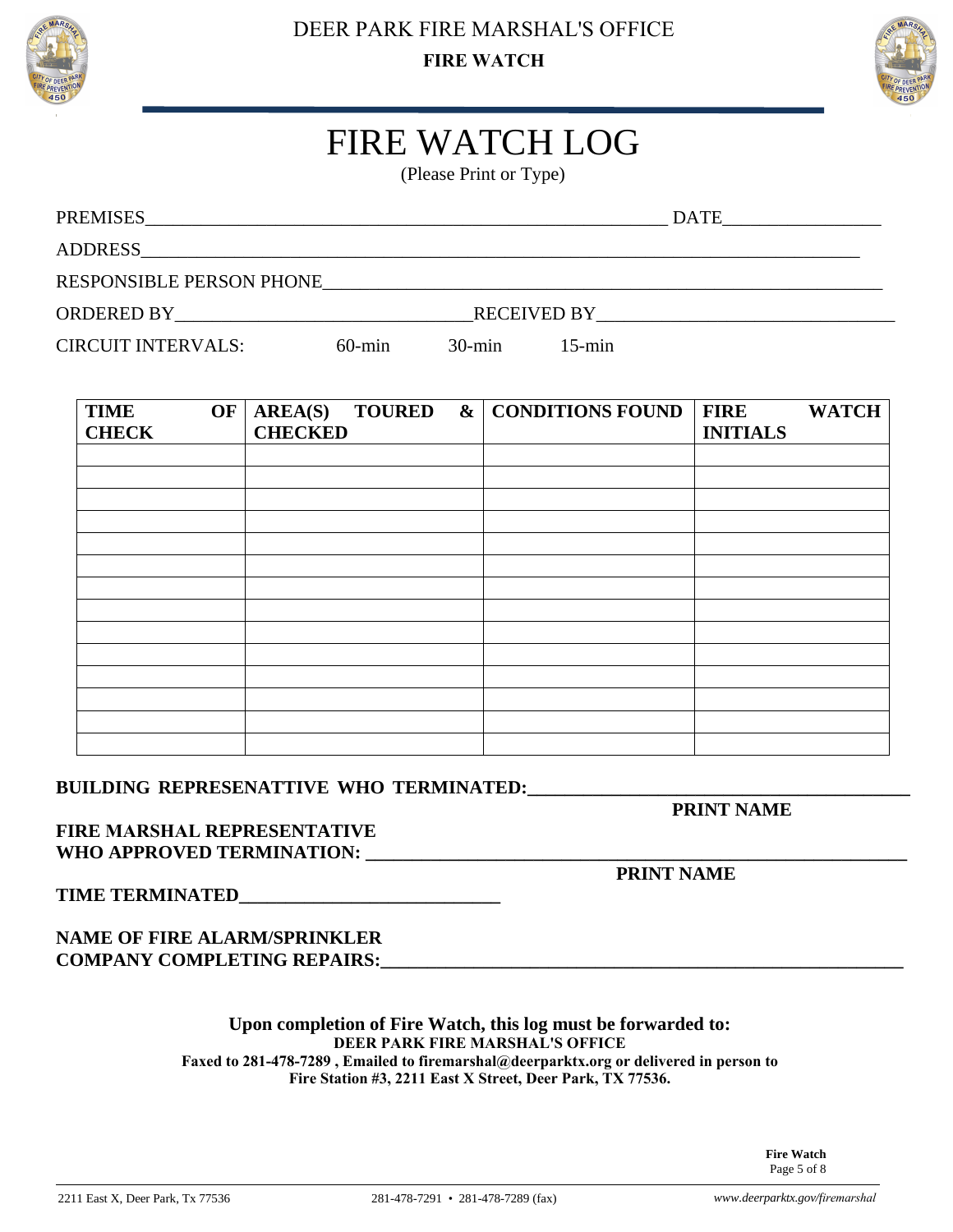



# FIRE WATCH LOG

(Please Print or Type)

| PREMISES                 |                    | <b>DATE</b> |
|--------------------------|--------------------|-------------|
| ADDRESS                  |                    |             |
| RESPONSIBLE PERSON PHONE |                    |             |
| ORDERED BY               | <b>RECEIVED BY</b> |             |

CIRCUIT INTERVALS: 60-min 30-min 15-min

| <b>TIME</b><br>OF<br><b>CHECK</b> | AREA(S)<br><b>CHECKED</b> |  | <b>TOURED</b> & CONDITIONS FOUND | <b>FIRE</b><br><b>INITIALS</b> | <b>WATCH</b> |
|-----------------------------------|---------------------------|--|----------------------------------|--------------------------------|--------------|
|                                   |                           |  |                                  |                                |              |
|                                   |                           |  |                                  |                                |              |
|                                   |                           |  |                                  |                                |              |
|                                   |                           |  |                                  |                                |              |
|                                   |                           |  |                                  |                                |              |
|                                   |                           |  |                                  |                                |              |
|                                   |                           |  |                                  |                                |              |
|                                   |                           |  |                                  |                                |              |
|                                   |                           |  |                                  |                                |              |
|                                   |                           |  |                                  |                                |              |
|                                   |                           |  |                                  |                                |              |
|                                   |                           |  |                                  |                                |              |
|                                   |                           |  |                                  |                                |              |
|                                   |                           |  |                                  |                                |              |

### BUILDING REPRESENATTIVE WHO TERMINATED:

**PRINT NAME** 

### **FIRE MARSHAL REPRESENTATIVE WHO APPROVED TERMINATION: \_\_\_\_\_\_\_\_\_\_\_\_\_\_\_\_\_\_\_\_\_\_\_\_\_\_\_\_\_\_\_\_\_\_\_\_\_\_\_\_\_\_\_\_\_\_\_\_\_\_\_\_\_\_\_\_\_\_**

**PRINT NAME** 

**TIME TERMINATED\_\_\_\_\_\_\_\_\_\_\_\_\_\_\_\_\_\_\_\_\_\_\_\_\_\_\_\_** 

### **NAME OF FIRE ALARM/SPRINKLER COMPANY COMPLETING REPAIRS:**

#### **Upon completion of Fire Watch, this log must be forwarded to: DEER PARK FIRE MARSHAL'S OFFICE Faxed to 281-478-7289 , Emailed to firemarshal@deerparktx.org or delivered in person to Fire Station #3, 2211 East X Street, Deer Park, TX 77536.**

**Fire Watch**  Page 5 of 8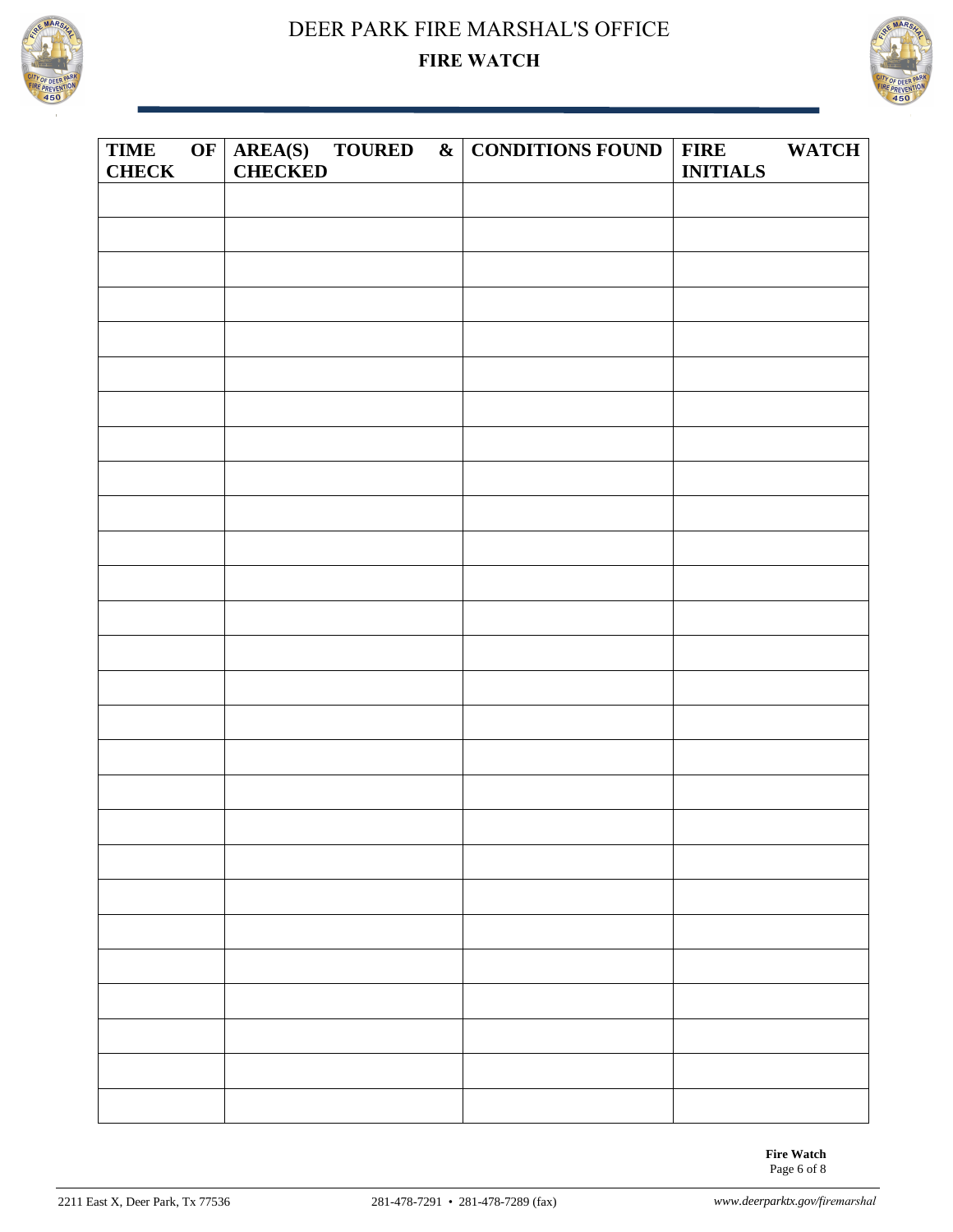



| <b>TIME</b><br><b>CHECK</b> | <b>CHECKED</b> |  | OF $AREA(S)$ TOURED & CONDITIONS FOUND | FIRE WATCH<br><b>INITIALS</b> |  |
|-----------------------------|----------------|--|----------------------------------------|-------------------------------|--|
|                             |                |  |                                        |                               |  |
|                             |                |  |                                        |                               |  |
|                             |                |  |                                        |                               |  |
|                             |                |  |                                        |                               |  |
|                             |                |  |                                        |                               |  |
|                             |                |  |                                        |                               |  |
|                             |                |  |                                        |                               |  |
|                             |                |  |                                        |                               |  |
|                             |                |  |                                        |                               |  |
|                             |                |  |                                        |                               |  |
|                             |                |  |                                        |                               |  |
|                             |                |  |                                        |                               |  |
|                             |                |  |                                        |                               |  |
|                             |                |  |                                        |                               |  |
|                             |                |  |                                        |                               |  |
|                             |                |  |                                        |                               |  |
|                             |                |  |                                        |                               |  |
|                             |                |  |                                        |                               |  |
|                             |                |  |                                        |                               |  |
|                             |                |  |                                        |                               |  |
|                             |                |  |                                        |                               |  |
|                             |                |  |                                        |                               |  |
|                             |                |  |                                        |                               |  |
|                             |                |  |                                        |                               |  |
|                             |                |  |                                        |                               |  |
|                             |                |  |                                        |                               |  |
|                             |                |  |                                        |                               |  |
|                             |                |  |                                        |                               |  |

**Fire Watch**  Page 6 of 8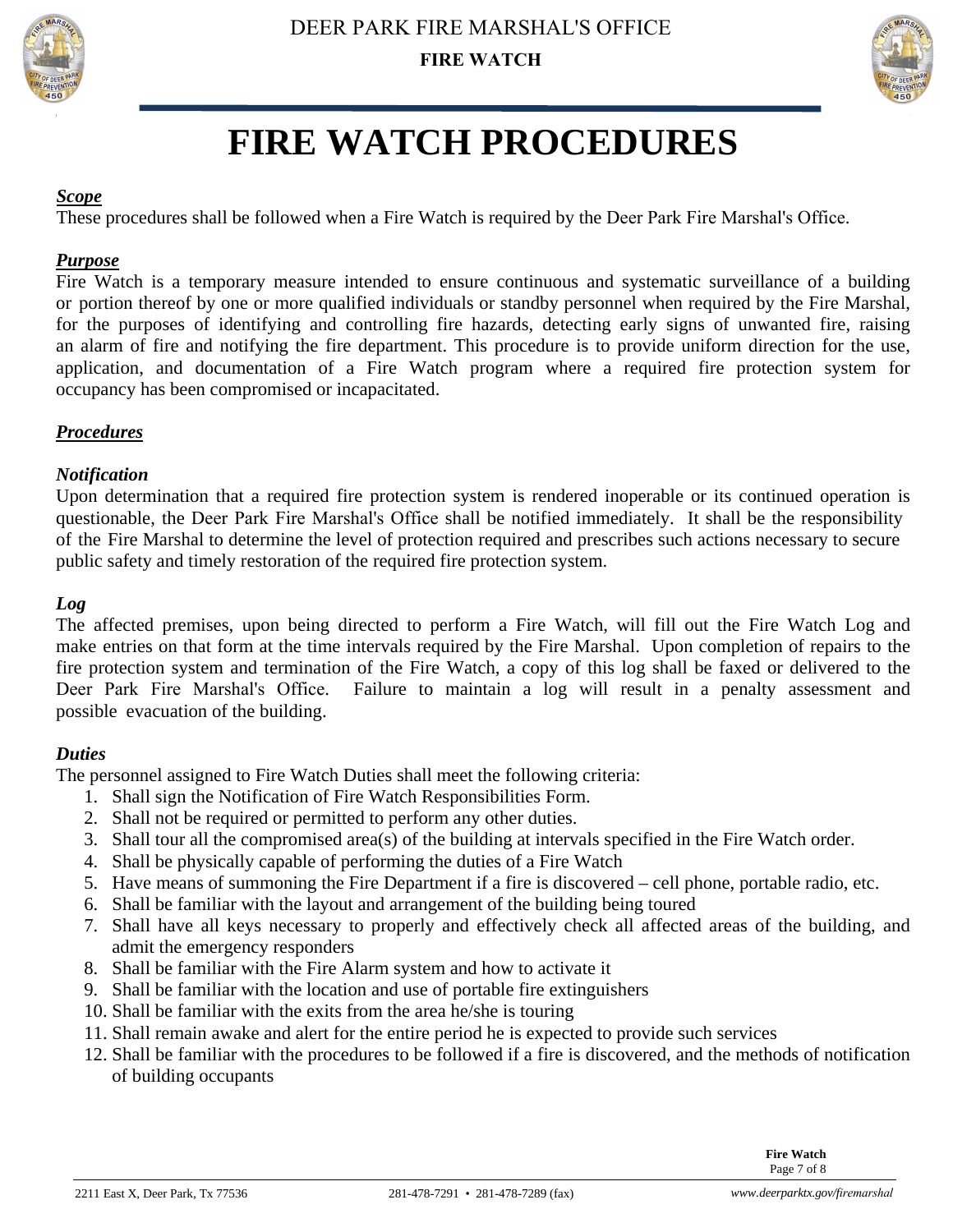



# **FIRE WATCH PROCEDURES**

#### *Scope*

These procedures shall be followed when a Fire Watch is required by the Deer Park Fire Marshal's Office.

### *Purpose*

Fire Watch is a temporary measure intended to ensure continuous and systematic surveillance of a building or portion thereof by one or more qualified individuals or standby personnel when required by the Fire Marshal, for the purposes of identifying and controlling fire hazards, detecting early signs of unwanted fire, raising an alarm of fire and notifying the fire department. This procedure is to provide uniform direction for the use, application, and documentation of a Fire Watch program where a required fire protection system for occupancy has been compromised or incapacitated.

### *Procedures*

#### *Notification*

Upon determination that a required fire protection system is rendered inoperable or its continued operation is questionable, the Deer Park Fire Marshal's Office shall be notified immediately. It shall be the responsibility of the Fire Marshal to determine the level of protection required and prescribes such actions necessary to secure public safety and timely restoration of the required fire protection system.

### *Log*

The affected premises, upon being directed to perform a Fire Watch, will fill out the Fire Watch Log and make entries on that form at the time intervals required by the Fire Marshal. Upon completion of repairs to the fire protection system and termination of the Fire Watch, a copy of this log shall be faxed or delivered to the Deer Park Fire Marshal's Office. Failure to maintain a log will result in a penalty assessment and possible evacuation of the building.

### *Duties*

The personnel assigned to Fire Watch Duties shall meet the following criteria:

- 1. Shall sign the Notification of Fire Watch Responsibilities Form.
- 2. Shall not be required or permitted to perform any other duties.
- 3. Shall tour all the compromised area(s) of the building at intervals specified in the Fire Watch order.
- 4. Shall be physically capable of performing the duties of a Fire Watch
- 5. Have means of summoning the Fire Department if a fire is discovered cell phone, portable radio, etc.
- 6. Shall be familiar with the layout and arrangement of the building being toured
- 7. Shall have all keys necessary to properly and effectively check all affected areas of the building, and admit the emergency responders
- 8. Shall be familiar with the Fire Alarm system and how to activate it
- 9. Shall be familiar with the location and use of portable fire extinguishers
- 10. Shall be familiar with the exits from the area he/she is touring
- 11. Shall remain awake and alert for the entire period he is expected to provide such services
- 12. Shall be familiar with the procedures to be followed if a fire is discovered, and the methods of notification of building occupants